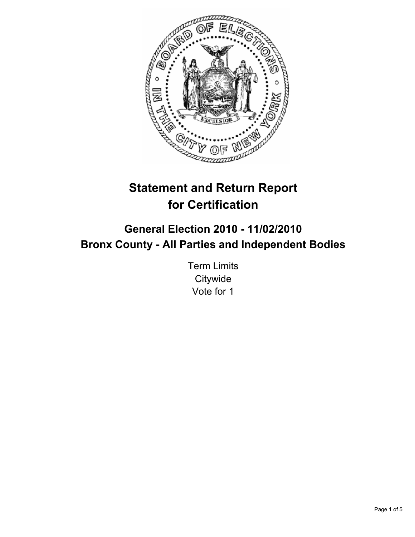

# **Statement and Return Report for Certification**

## **General Election 2010 - 11/02/2010 Bronx County - All Parties and Independent Bodies**

Term Limits **Citywide** Vote for 1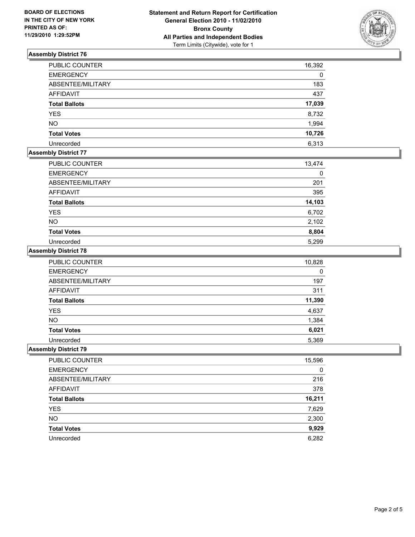

## **Assembly District 76**

| <b>PUBLIC COUNTER</b> | 16,392 |
|-----------------------|--------|
| <b>EMERGENCY</b>      | 0      |
| ABSENTEE/MILITARY     | 183    |
| <b>AFFIDAVIT</b>      | 437    |
| <b>Total Ballots</b>  | 17,039 |
| <b>YES</b>            | 8,732  |
| <b>NO</b>             | 1,994  |
| <b>Total Votes</b>    | 10,726 |
| Unrecorded            | 6,313  |

## **Assembly District 77**

| <b>PUBLIC COUNTER</b> | 13,474 |
|-----------------------|--------|
| <b>EMERGENCY</b>      | 0      |
| ABSENTEE/MILITARY     | 201    |
| <b>AFFIDAVIT</b>      | 395    |
| <b>Total Ballots</b>  | 14,103 |
| <b>YES</b>            | 6,702  |
| <b>NO</b>             | 2,102  |
| <b>Total Votes</b>    | 8,804  |
| Unrecorded            | 5.299  |

## **Assembly District 78**

| <b>PUBLIC COUNTER</b> | 10,828 |
|-----------------------|--------|
| <b>EMERGENCY</b>      | 0      |
| ABSENTEE/MILITARY     | 197    |
| <b>AFFIDAVIT</b>      | 311    |
| <b>Total Ballots</b>  | 11,390 |
| <b>YES</b>            | 4,637  |
| <b>NO</b>             | 1,384  |
| <b>Total Votes</b>    | 6,021  |
| Unrecorded            | 5,369  |

## **Assembly District 79**

| PUBLIC COUNTER       | 15,596 |
|----------------------|--------|
| <b>EMERGENCY</b>     | 0      |
| ABSENTEE/MILITARY    | 216    |
| <b>AFFIDAVIT</b>     | 378    |
| <b>Total Ballots</b> | 16,211 |
| <b>YES</b>           | 7,629  |
| <b>NO</b>            | 2,300  |
| <b>Total Votes</b>   | 9,929  |
| Unrecorded           | 6,282  |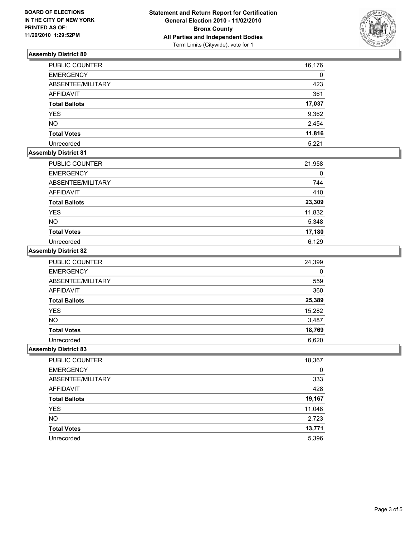

## **Assembly District 80**

| PUBLIC COUNTER       | 16,176 |
|----------------------|--------|
| <b>EMERGENCY</b>     | 0      |
| ABSENTEE/MILITARY    | 423    |
| <b>AFFIDAVIT</b>     | 361    |
| <b>Total Ballots</b> | 17,037 |
| <b>YES</b>           | 9,362  |
| <b>NO</b>            | 2,454  |
| <b>Total Votes</b>   | 11,816 |
| Unrecorded           | 5,221  |

## **Assembly District 81**

| <b>PUBLIC COUNTER</b> | 21,958 |
|-----------------------|--------|
| <b>EMERGENCY</b>      | 0      |
| ABSENTEE/MILITARY     | 744    |
| <b>AFFIDAVIT</b>      | 410    |
| <b>Total Ballots</b>  | 23,309 |
| <b>YES</b>            | 11,832 |
| <b>NO</b>             | 5,348  |
| <b>Total Votes</b>    | 17,180 |
| Unrecorded            | 6,129  |

## **Assembly District 82**

| <b>PUBLIC COUNTER</b> | 24,399 |
|-----------------------|--------|
| <b>EMERGENCY</b>      | 0      |
| ABSENTEE/MILITARY     | 559    |
| <b>AFFIDAVIT</b>      | 360    |
| <b>Total Ballots</b>  | 25,389 |
| <b>YES</b>            | 15,282 |
| <b>NO</b>             | 3,487  |
| <b>Total Votes</b>    | 18,769 |
| Unrecorded            | 6.620  |

#### **Assembly District 83**

| PUBLIC COUNTER       | 18,367 |
|----------------------|--------|
| <b>EMERGENCY</b>     | 0      |
| ABSENTEE/MILITARY    | 333    |
| AFFIDAVIT            | 428    |
| <b>Total Ballots</b> | 19,167 |
| <b>YES</b>           | 11,048 |
| <b>NO</b>            | 2,723  |
| <b>Total Votes</b>   | 13,771 |
| Unrecorded           | 5,396  |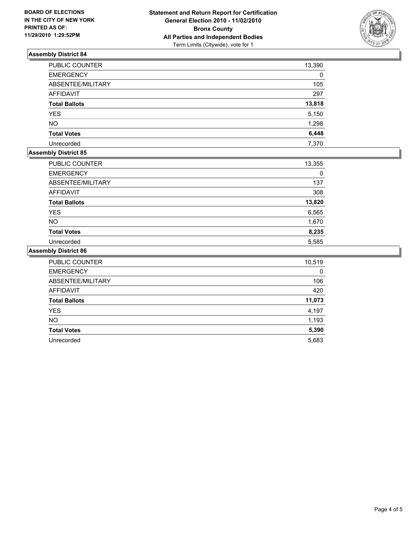

## **Assembly District 84**

| PUBLIC COUNTER       | 13,390 |
|----------------------|--------|
| <b>EMERGENCY</b>     | 0      |
| ABSENTEE/MILITARY    | 105    |
| <b>AFFIDAVIT</b>     | 297    |
| <b>Total Ballots</b> | 13,818 |
| <b>YES</b>           | 5,150  |
| <b>NO</b>            | 1,298  |
| <b>Total Votes</b>   | 6,448  |
| Unrecorded           | 7,370  |

## **Assembly District 85**

| PUBLIC COUNTER       | 13,355 |
|----------------------|--------|
| <b>EMERGENCY</b>     | 0      |
| ABSENTEE/MILITARY    | 137    |
| AFFIDAVIT            | 308    |
| <b>Total Ballots</b> | 13,820 |
| <b>YES</b>           | 6,565  |
| <b>NO</b>            | 1,670  |
| <b>Total Votes</b>   | 8,235  |
| Unrecorded           | 5,585  |

## **Assembly District 86**

| <b>PUBLIC COUNTER</b> | 10,519 |
|-----------------------|--------|
| <b>EMERGENCY</b>      |        |
| ABSENTEE/MILITARY     | 106    |
| <b>AFFIDAVIT</b>      | 420    |
| <b>Total Ballots</b>  | 11,073 |
| <b>YES</b>            | 4,197  |
| <b>NO</b>             | 1,193  |
| <b>Total Votes</b>    | 5,390  |
| Unrecorded            | 5,683  |